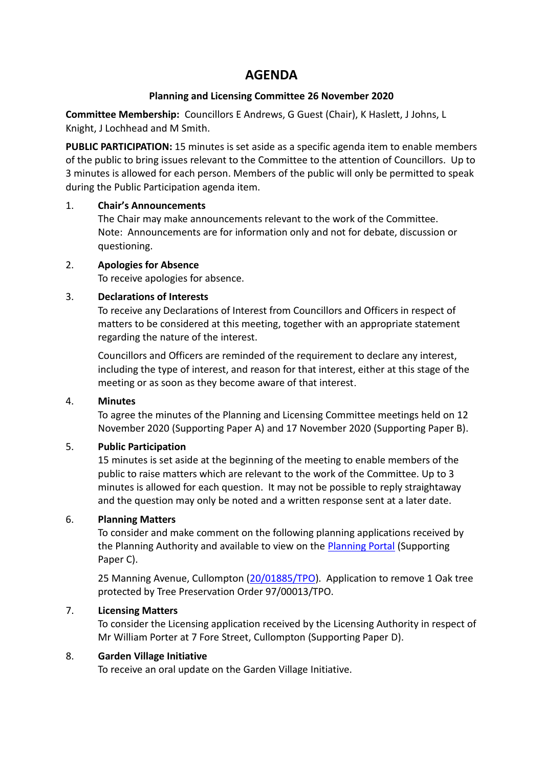# **AGENDA**

#### **Planning and Licensing Committee 26 November 2020**

**Committee Membership:** Councillors E Andrews, G Guest (Chair), K Haslett, J Johns, L Knight, J Lochhead and M Smith.

**PUBLIC PARTICIPATION:** 15 minutes is set aside as a specific agenda item to enable members of the public to bring issues relevant to the Committee to the attention of Councillors. Up to 3 minutes is allowed for each person. Members of the public will only be permitted to speak during the Public Participation agenda item.

#### 1. **Chair's Announcements**

The Chair may make announcements relevant to the work of the Committee. Note: Announcements are for information only and not for debate, discussion or questioning.

### 2. **Apologies for Absence**

To receive apologies for absence.

### 3. **Declarations of Interests**

To receive any Declarations of Interest from Councillors and Officers in respect of matters to be considered at this meeting, together with an appropriate statement regarding the nature of the interest.

Councillors and Officers are reminded of the requirement to declare any interest, including the type of interest, and reason for that interest, either at this stage of the meeting or as soon as they become aware of that interest.

#### 4. **Minutes**

To agree the minutes of the Planning and Licensing Committee meetings held on 12 November 2020 (Supporting Paper A) and 17 November 2020 (Supporting Paper B).

## 5. **Public Participation**

15 minutes is set aside at the beginning of the meeting to enable members of the public to raise matters which are relevant to the work of the Committee. Up to 3 minutes is allowed for each question. It may not be possible to reply straightaway and the question may only be noted and a written response sent at a later date.

## 6. **Planning Matters**

To consider and make comment on the following planning applications received by the Planning Authority and available to view on the [Planning Portal](https://planning.middevon.gov.uk/online-applications/) (Supporting Paper C).

25 Manning Avenue, Cullompton [\(20/01885/TPO\)](https://planning.middevon.gov.uk/online-applications/applicationDetails.do?activeTab=documents&keyVal=QJOKA1KS07T00). Application to remove 1 Oak tree protected by Tree Preservation Order 97/00013/TPO.

## 7. **Licensing Matters**

To consider the Licensing application received by the Licensing Authority in respect of Mr William Porter at 7 Fore Street, Cullompton (Supporting Paper D).

#### 8. **Garden Village Initiative**

To receive an oral update on the Garden Village Initiative.